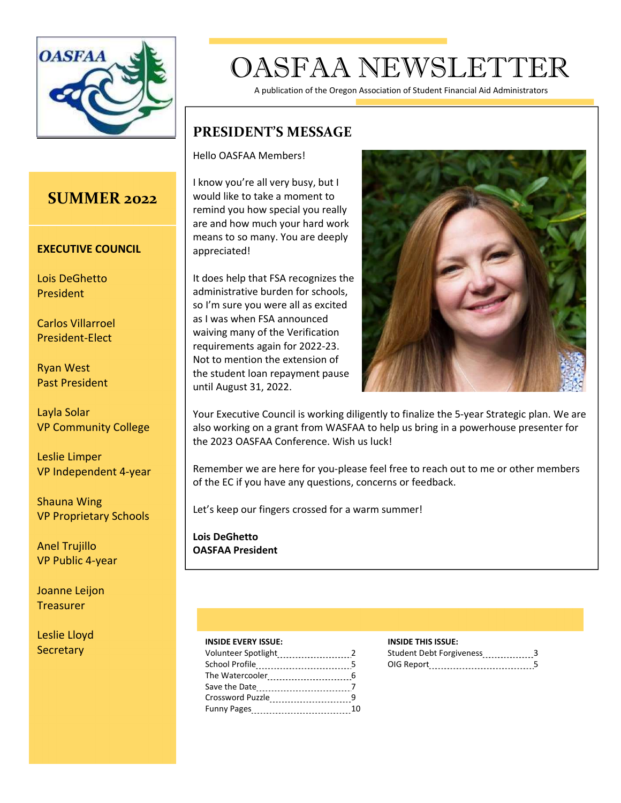

# OASFAA NEWSLETTER

A publication of the Oregon Association of Student Financial Aid Administrators

### **PRESIDENT'S MESSAGE**

Hello OASFAA Members!

I know you're all very busy, but I would like to take a moment to remind you how special you really are and how much your hard work means to so many. You are deeply appreciated!

It does help that FSA recognizes the administrative burden for schools, so I'm sure you were all as excited as I was when FSA announced waiving many of the Verification requirements again for 2022-23. Not to mention the extension of the student loan repayment pause until August 31, 2022.



Your Executive Council is working diligently to finalize the 5-year Strategic plan. We are also working on a grant from WASFAA to help us bring in a powerhouse presenter for the 2023 OASFAA Conference. Wish us luck!

Remember we are here for you-please feel free to reach out to me or other members of the EC if you have any questions, concerns or feedback.

Let's keep our fingers crossed for a warm summer!

**Lois DeGhetto OASFAA President** 

#### **INSIDE EVERY ISSUE: INSIDE THIS ISSUE:**

|                       |    | Student Debt Forgiveness 3 |  |
|-----------------------|----|----------------------------|--|
| <b>School Profile</b> |    | OIG Report 5               |  |
|                       |    |                            |  |
|                       |    |                            |  |
| Crossword Puzzle      |    |                            |  |
| Funny Pages           | 10 |                            |  |

| Student Debt Forgiveness |  |
|--------------------------|--|
| DIG Report               |  |

### **SUMMER 2022**

#### **EXECUTIVE COUNCIL**

Lois DeGhetto President

Carlos Villarroel President-Elect

Ryan West Past President

Layla Solar VP Community College

Leslie Limper VP Independent 4year

Shauna Wing VP Proprietary Schools

Anel Trujillo VP Public 4-year

Joanne Leijon **Treasurer** 

Leslie Lloyd **Secretary**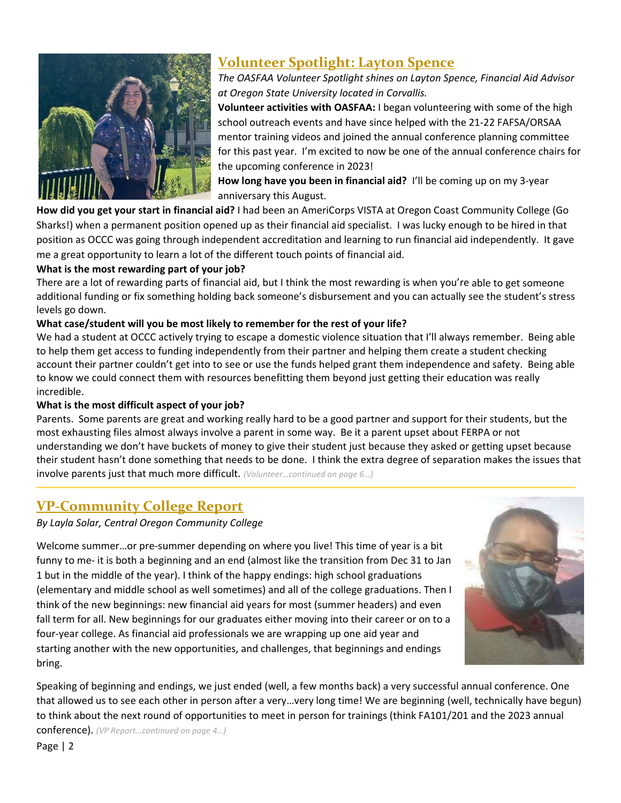

### **Volunteer Spotlight: Layton Spence**

*The OASFAA Volunteer Spotlight shines on Layton Spence, Financial Aid Advisor at Oregon State University located in Corvallis.* 

**Volunteer activities with OASFAA:** I began volunteering with some of the high school outreach events and have since helped with the 21-22 FAFSA/ORSAA mentor training videos and joined the annual conference planning committee for this past year. I'm excited to now be one of the annual conference chairs for the upcoming conference in 2023!

**How long have you been in financial aid?** I'll be coming up on my 3year anniversary this August.

**How did you get your start in financial aid?** I had been an AmeriCorps VISTA at Oregon Coast Community College (Go Sharks!) when a permanent position opened up as their financial aid specialist. I was lucky enough to be hired in that position as OCCC was going through independent accreditation and learning to run financial aid independently. It gave me a great opportunity to learn a lot of the different touch points of financial aid.

### **What is the most rewarding part of your job?**

There are a lot of rewarding parts of financial aid, but I think the most rewarding is when you're able to get someone additional funding or fix something holding back someone's disbursement and you can actually see the student's stress levels go down.

### **What case/student will you be most likely to remember for the rest of your life?**

We had a student at OCCC actively trying to escape a domestic violence situation that I'll always remember. Being able to help them get access to funding independently from their partner and helping them create a student checking account their partner couldn't get into to see or use the funds helped grant them independence and safety. Being able to know we could connect them with resources benefitting them beyond just getting their education was really incredible.

#### **What is the most difficult aspect of your job?**

Parents. Some parents are great and working really hard to be a good partner and support for their students, but the most exhausting files almost always involve a parent in some way. Be it a parent upset about FERPA or not understanding we don't have buckets of money to give their student just because they asked or getting upset because their student hasn't done something that needs to be done. I think the extra degree of separation makes the issues that involve parents just that much more difficult. *(Volunteer…continued on page 6…)*

### **VPCommunity College Report**

*By Layla Solar, Central Oregon Community College* 

Welcome summer...or pre-summer depending on where you live! This time of year is a bit funny to me- it is both a beginning and an end (almost like the transition from Dec 31 to Jan 1 but in the middle of the year). I think of the happy endings: high school graduations (elementary and middle school as well sometimes) and all of the college graduations. Then I think of the new beginnings: new financial aid years for most (summer headers) and even fall term for all. New beginnings for our graduates either moving into their career or on to a four-year college. As financial aid professionals we are wrapping up one aid year and starting another with the new opportunities, and challenges, that beginnings and endings bring.



Speaking of beginning and endings, we just ended (well, a few months back) a very successful annual conference. One that allowed us to see each other in person after a very…very long time! We are beginning (well, technically have begun) to think about the next round of opportunities to meet in person for trainings (think FA101/201 and the 2023 annual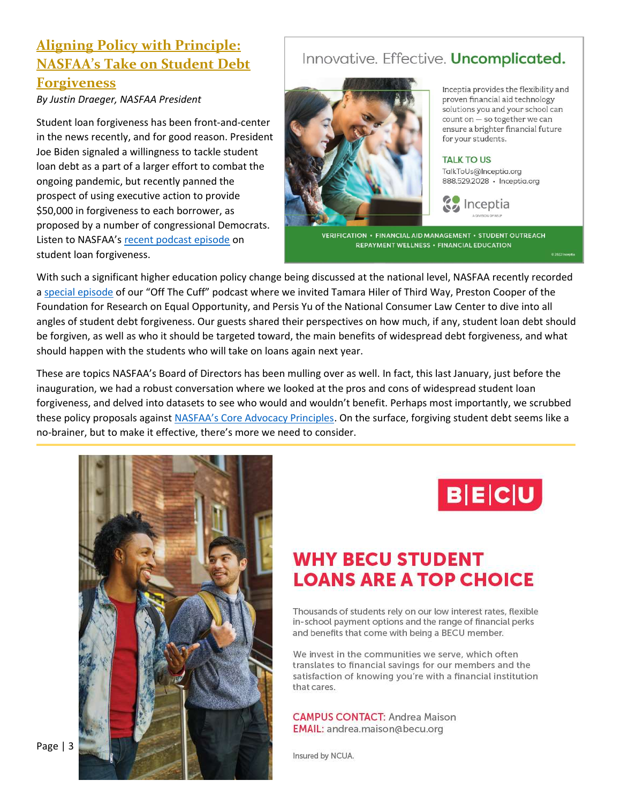### **Aligning Policy with Principle: NASFAA's Take on Student Debt Forgiveness**

*By Justin Draeger, NASFAA President* 

Student loan forgiveness has been front-and-center in the news recently, and for good reason. President Joe Biden signaled a willingness to tackle student loan debt as a part of a larger effort to combat the ongoing pandemic, but recently panned the prospect of using executive action to provide \$50,000 in forgiveness to each borrower, as proposed by a number of congressional Democrats. Listen to NASFAA's recent podcast episode on student loan forgiveness.

### Innovative. Effective. Uncomplicated.



Inceptia provides the flexibility and proven financial aid technology solutions you and your school can count on - so together we can ensure a brighter financial future for your students.

#### **TALK TO US**

TalkToUs@Inceptia.org 888.529.2028 · Inceptia.org



VERIFICATION · FINANCIAL AID MANAGEMENT · STUDENT OUTREACH REPAYMENT WELLNESS . FINANCIAL EDUCATION

With such a significant higher education policy change being discussed at the national level, NASFAA recently recorded a special episode of our "Off The Cuff" podcast where we invited Tamara Hiler of Third Way, Preston Cooper of the Foundation for Research on Equal Opportunity, and Persis Yu of the National Consumer Law Center to dive into all angles of student debt forgiveness. Our guests shared their perspectives on how much, if any, student loan debt should be forgiven, as well as who it should be targeted toward, the main benefits of widespread debt forgiveness, and what should happen with the students who will take on loans again next year.

These are topics NASFAA's Board of Directors has been mulling over as well. In fact, this last January, just before the inauguration, we had a robust conversation where we looked at the pros and cons of widespread student loan forgiveness, and delved into datasets to see who would and wouldn't benefit. Perhaps most importantly, we scrubbed these policy proposals against NASFAA's Core Advocacy Principles. On the surface, forgiving student debt seems like a no-brainer, but to make it effective, there's more we need to consider.





## **WHY BECU STUDENT LOANS ARE A TOP CHOICE**

Thousands of students rely on our low interest rates, flexible in-school payment options and the range of financial perks and benefits that come with being a BECU member.

We invest in the communities we serve, which often translates to financial savings for our members and the satisfaction of knowing you're with a financial institution that cares.

**CAMPUS CONTACT: Andrea Maison** EMAIL: andrea.maison@becu.org

Insured by NCUA.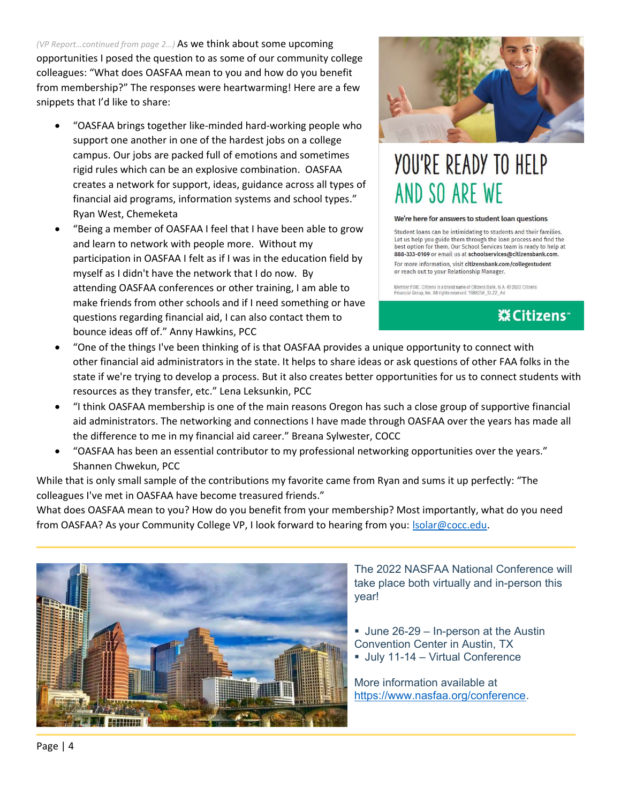*(VP Report…continued from page 2…)* As we think about some upcoming opportunities I posed the question to as some of our community college colleagues: "What does OASFAA mean to you and how do you benefit from membership?" The responses were heartwarming! Here are a few snippets that I'd like to share:

- "OASFAA brings together like-minded hard-working people who support one another in one of the hardest jobs on a college campus. Our jobs are packed full of emotions and sometimes rigid rules which can be an explosive combination. OASFAA creates a network for support, ideas, guidance across all types of financial aid programs, information systems and school types." Ryan West, Chemeketa
- "Being a member of OASFAA I feel that I have been able to grow and learn to network with people more. Without my participation in OASFAA I felt as if I was in the education field by myself as I didn't have the network that I do now. By attending OASFAA conferences or other training, I am able to make friends from other schools and if I need something or have questions regarding financial aid, I can also contact them to bounce ideas off of." Anny Hawkins, PCC



# YOU'RE READY TO HELP AND SO ARE WE

#### We're here for answers to student loan questions

Student loans can be intimidating to students and their families. Let us help you guide them through the loan process and find the best option for them. Our School Services team is ready to help at 888-333-0169 or email us at schoolservices@citizensbank.com. For more information, visit citizensbank.com/collegestudent or reach out to your Relationship Manager.

Member FDIC, Citizens is a brand name of Citizens Bank, N.A. © 2022 Citizens<br>Financial Group, Inc. All rights reserved. 1688258\_SL22\_Ad

### **※Citizens**™

- x "One of the things I've been thinking of is that OASFAA provides a unique opportunity to connect with other financial aid administrators in the state. It helps to share ideas or ask questions of other FAA folks in the state if we're trying to develop a process. But it also creates better opportunities for us to connect students with resources as they transfer, etc." Lena Leksunkin, PCC
- x "I think OASFAA membership is one of the main reasons Oregon has such a close group of supportive financial aid administrators. The networking and connections I have made through OASFAA over the years has made all the difference to me in my financial aid career." Breana Sylwester, COCC
- "OASFAA has been an essential contributor to my professional networking opportunities over the years." Shannen Chwekun, PCC

While that is only small sample of the contributions my favorite came from Ryan and sums it up perfectly: "The colleagues I've met in OASFAA have become treasured friends."

What does OASFAA mean to you? How do you benefit from your membership? Most importantly, what do you need from OASFAA? As your Community College VP, I look forward to hearing from you: **Solar@cocc.edu.** 



The 2022 NASFAA National Conference will take place both virtually and in-person this year!

- June 26-29 In-person at the Austin Convention Center in Austin, TX
- July 11-14 Virtual Conference

More information available at https://www.nasfaa.org/conference.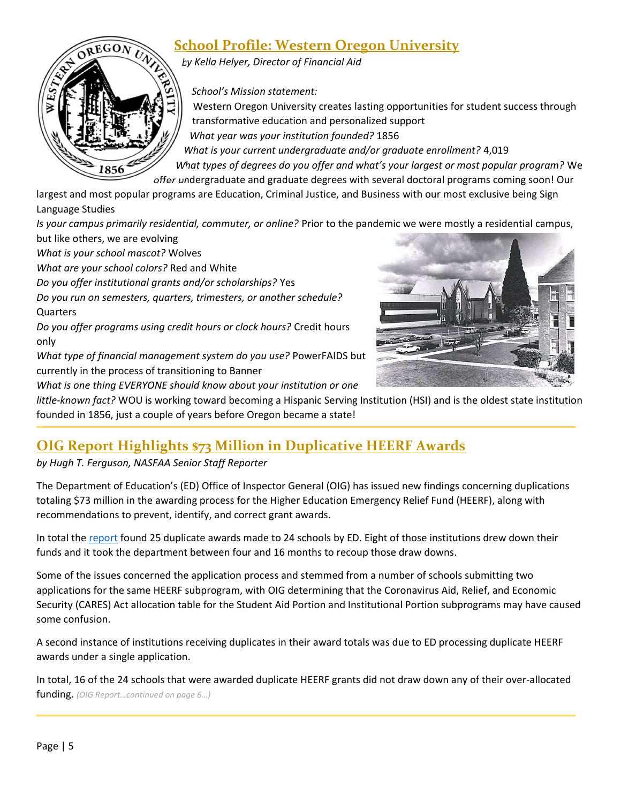### **School Profile: Western Oregon University**

*by Kella Helyer, Director of Financial Aid* 

*School's Mission statement:* 

Western Oregon University creates lasting opportunities for student success through transformative education and personalized support *What year was your institution founded?* 1856

*What is your current undergraduate and/or graduate enrollment?* 4,019

*What types of degrees do you offer and what's your largest or most popular program?* We offer undergraduate and graduate degrees with several doctoral programs coming soon! Our

largest and most popular programs are Education, Criminal Justice, and Business with our most exclusive being Sign Language Studies

*Is your campus primarily residential, commuter, or online?* Prior to the pandemic we were mostly a residential campus, but like others, we are evolving

*What is your school mascot?* Wolves

1856

*What are your school colors?* Red and White

*Do you offer institutional grants and/or scholarships?* Yes

*Do you run on semesters, quarters, trimesters, or another schedule?*  **Quarters** 

*Do you offer programs using credit hours or clock hours?* Credit hours only

*What type of financial management system do you use?* PowerFAIDS but currently in the process of transitioning to Banner

*What is one thing EVERYONE should know about your institution or one* 



*littleknown fact?* WOU is working toward becoming a Hispanic Serving Institution (HSI) and is the oldest state institution founded in 1856, just a couple of years before Oregon became a state!

### **OIG Report Highlights \$73 Million in Duplicative HEERF Awards**

*by Hugh T. Ferguson, NASFAA Senior Staff Reporter* 

The Department of Education's (ED) Office of Inspector General (OIG) has issued new findings concerning duplications totaling \$73 million in the awarding process for the Higher Education Emergency Relief Fund (HEERF), along with recommendations to prevent, identify, and correct grant awards.

In total the report found 25 duplicate awards made to 24 schools by ED. Eight of those institutions drew down their funds and it took the department between four and 16 months to recoup those draw downs.

Some of the issues concerned the application process and stemmed from a number of schools submitting two applications for the same HEERF subprogram, with OIG determining that the Coronavirus Aid, Relief, and Economic Security (CARES) Act allocation table for the Student Aid Portion and Institutional Portion subprograms may have caused some confusion.

A second instance of institutions receiving duplicates in their award totals was due to ED processing duplicate HEERF awards under a single application.

In total, 16 of the 24 schools that were awarded duplicate HEERF grants did not draw down any of their over-allocated funding. *(OIG Report…continued on page 6…)*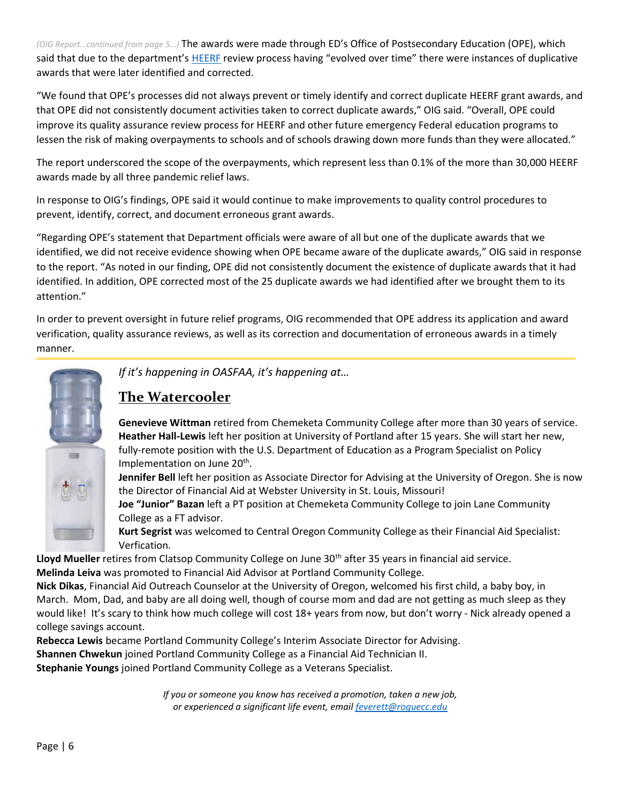*(OIG Report…continued from page 5…)* The awards were made through ED's Office of Postsecondary Education (OPE), which said that due to the department's HEERF review process having "evolved over time" there were instances of duplicative awards that were later identified and corrected.

"We found that OPE's processes did not always prevent or timely identify and correct duplicate HEERF grant awards, and that OPE did not consistently document activities taken to correct duplicate awards," OIG said. "Overall, OPE could improve its quality assurance review process for HEERF and other future emergency Federal education programs to lessen the risk of making overpayments to schools and of schools drawing down more funds than they were allocated."

The report underscored the scope of the overpayments, which represent less than 0.1% of the more than 30,000 HEERF awards made by all three pandemic relief laws.

In response to OIG's findings, OPE said it would continue to make improvements to quality control procedures to prevent, identify, correct, and document erroneous grant awards.

"Regarding OPE's statement that Department officials were aware of all but one of the duplicate awards that we identified, we did not receive evidence showing when OPE became aware of the duplicate awards," OIG said in response to the report. "As noted in our finding, OPE did not consistently document the existence of duplicate awards that it had identified. In addition, OPE corrected most of the 25 duplicate awards we had identified after we brought them to its attention."

In order to prevent oversight in future relief programs, OIG recommended that OPE address its application and award verification, quality assurance reviews, as well as its correction and documentation of erroneous awards in a timely manner.



*If it's happening in OASFAA, it's happening at…*

### **The Watercooler**

**Genevieve Wittman** retired from Chemeketa Community College after more than 30 years of service. **Heather HallLewis** left her position at University of Portland after 15 years. She will start her new, fully-remote position with the U.S. Department of Education as a Program Specialist on Policy Implementation on June 20<sup>th</sup>.

**Jennifer Bell** left her position as Associate Director for Advising at the University of Oregon. She is now the Director of Financial Aid at Webster University in St. Louis, Missouri!

**Joe "Junior" Bazan** left a PT position at Chemeketa Community College to join Lane Community College as a FT advisor.

**Kurt Segrist** was welcomed to Central Oregon Community College as their Financial Aid Specialist: Verfication.

Lloyd Mueller retires from Clatsop Community College on June 30<sup>th</sup> after 35 years in financial aid service. **Melinda Leiva** was promoted to Financial Aid Advisor at Portland Community College.

**Nick Dikas**, Financial Aid Outreach Counselor at the University of Oregon, welcomed his first child, a baby boy, in March. Mom, Dad, and baby are all doing well, though of course mom and dad are not getting as much sleep as they would like! It's scary to think how much college will cost 18+ years from now, but don't worry - Nick already opened a college savings account.

**Rebecca Lewis** became Portland Community College's Interim Associate Director for Advising. **Shannen Chwekun** joined Portland Community College as a Financial Aid Technician II. **Stephanie Youngs** joined Portland Community College as a Veterans Specialist.

> *If you or someone you know has received a promotion, taken a new job, or experienced a significant life event, email feverett@roguecc.edu*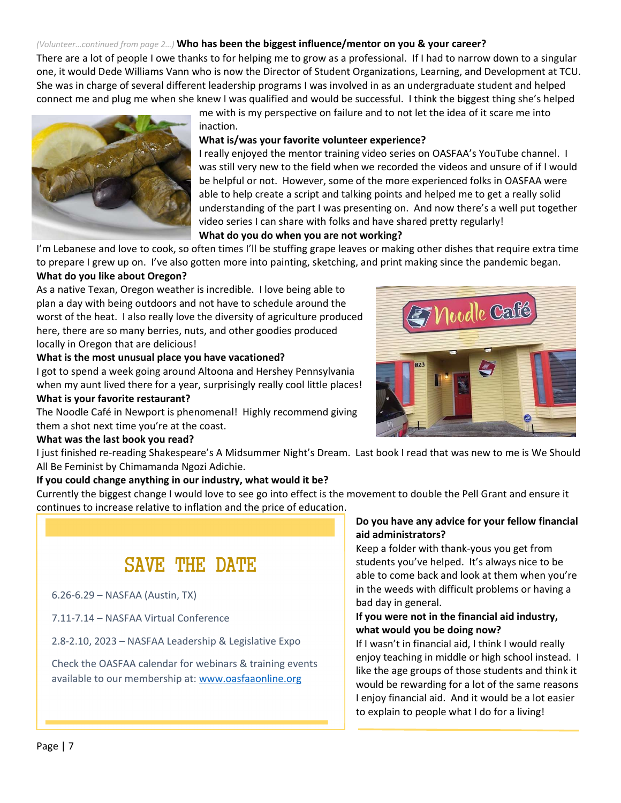#### *(Volunteer…continued from page 2…)* **Who has been the biggest influence/mentor on you & your career?**

There are a lot of people I owe thanks to for helping me to grow as a professional. If I had to narrow down to a singular one, it would Dede Williams Vann who is now the Director of Student Organizations, Learning, and Development at TCU. She was in charge of several different leadership programs I was involved in as an undergraduate student and helped connect me and plug me when she knew I was qualified and would be successful. I think the biggest thing she's helped

> me with is my perspective on failure and to not let the idea of it scare me into inaction.

#### **What is/was your favorite volunteer experience?**

I really enjoyed the mentor training video series on OASFAA's YouTube channel. I was still very new to the field when we recorded the videos and unsure of if I would be helpful or not. However, some of the more experienced folks in OASFAA were able to help create a script and talking points and helped me to get a really solid understanding of the part I was presenting on. And now there's a well put together video series I can share with folks and have shared pretty regularly!

#### **What do you do when you are not working?**

I'm Lebanese and love to cook, so often times I'll be stuffing grape leaves or making other dishes that require extra time to prepare I grew up on. I've also gotten more into painting, sketching, and print making since the pandemic began.

#### **What do you like about Oregon?**

As a native Texan, Oregon weather is incredible. I love being able to plan a day with being outdoors and not have to schedule around the worst of the heat. I also really love the diversity of agriculture produced here, there are so many berries, nuts, and other goodies produced locally in Oregon that are delicious!

#### **What is the most unusual place you have vacationed?**

I got to spend a week going around Altoona and Hershey Pennsylvania when my aunt lived there for a year, surprisingly really cool little places!

#### **What is your favorite restaurant?**

The Noodle Café in Newport is phenomenal! Highly recommend giving them a shot next time you're at the coast.

#### **What was the last book you read?**

I just finished rereading Shakespeare's A Midsummer Night's Dream. Last book I read that was new to me is We Should All Be Feminist by Chimamanda Ngozi Adichie.

#### **If you could change anything in our industry, what would it be?**

Currently the biggest change I would love to see go into effect is the movement to double the Pell Grant and ensure it continues to increase relative to inflation and the price of education.

### SAVE THE DATE

6.26-6.29 – NASFAA (Austin, TX)

7.11-7.14 – NASFAA Virtual Conference

2.8-2.10, 2023 – NASFAA Leadership & Legislative Expo

Check the OASFAA calendar for webinars & training events available to our membership at: www.oasfaaonline.org

#### **Do you have any advice for your fellow financial aid administrators?**

Keep a folder with thank-yous you get from students you've helped. It's always nice to be able to come back and look at them when you're in the weeds with difficult problems or having a bad day in general.

### **If you were not in the financial aid industry, what would you be doing now?**

If I wasn't in financial aid, I think I would really enjoy teaching in middle or high school instead. I like the age groups of those students and think it would be rewarding for a lot of the same reasons I enjoy financial aid. And it would be a lot easier to explain to people what I do for a living!



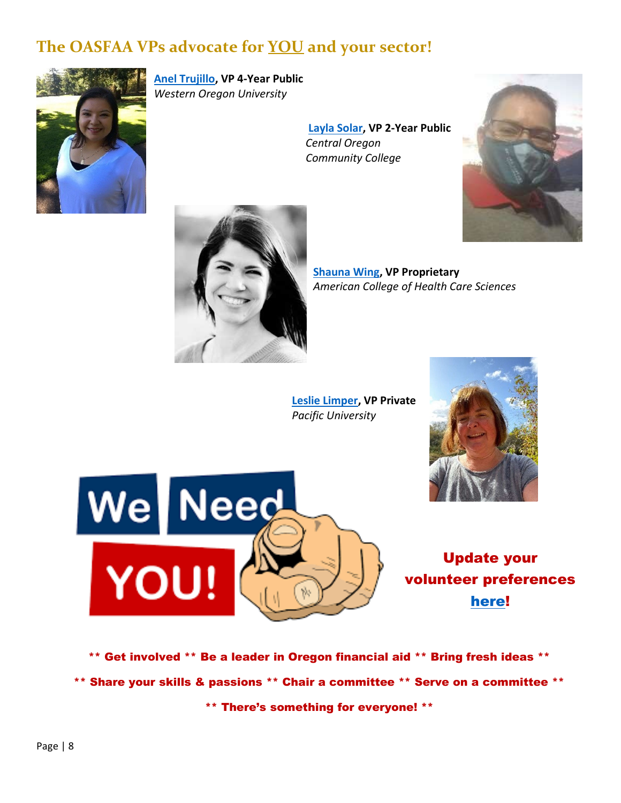## **The OASFAA VPs advocate for YOU and your sector!**



**Anel Trujillo, VP 4Year Public**  *Western Oregon University*

> **Layla Solar, VP 2Year Public**   *Central Oregon Community College*





**Shauna Wing, VP Proprietary** *American College of Health Care Sciences*

**Leslie Limper, VP Private**  *Pacific University*





Update your volunteer preferences here!

\*\* Get involved \*\* Be a leader in Oregon financial aid \*\* Bring fresh ideas \*\* \*\* Share your skills & passions \*\* Chair a committee \*\* Serve on a committee \*\*

\*\* There's something for everyone! \*\*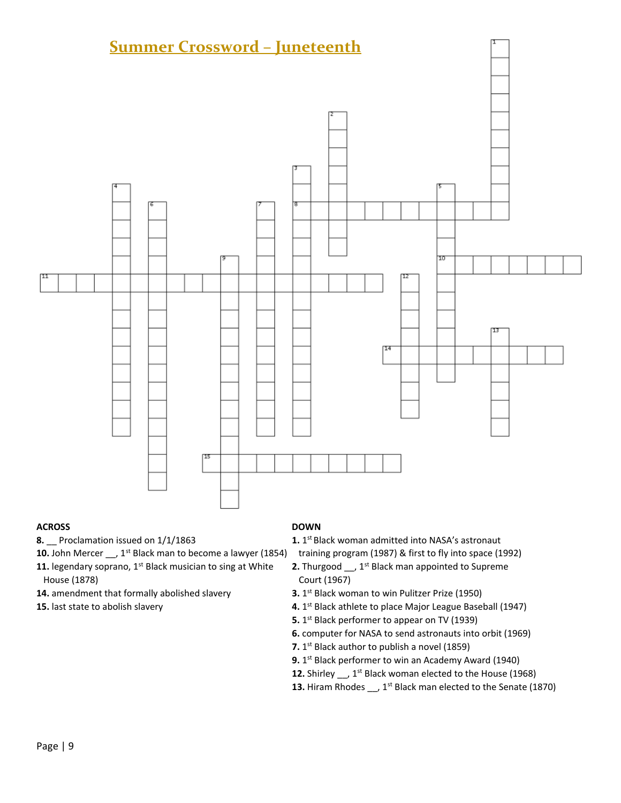

#### **ACROSS DOWN**

**10.** John Mercer \_\_, 1<sup>st</sup> Black man to become a lawyer (1854) training program (1987) & first to fly into space (1992)

- 11. legendary soprano, 1<sup>st</sup> Black musician to sing at White 2. Thurgood \_\_, 1<sup>st</sup> Black man appointed to Supreme House (1878) Court (1967)
- **14.** amendment that formally abolished slavery **3.1**<sup>st</sup> Black woman to win Pulitzer Prize (1950)
- 

**8.** \_\_ Proclamation issued on 1/1/1863 **1.** 1st Black woman admitted into NASA's astronaut

- 
- 
- **15.** last state to abolish slavery **15. 15. 4.** 1<sup>st</sup> Black athlete to place Major League Baseball (1947)
	- **5.** 1<sup>st</sup> Black performer to appear on TV (1939)
	- **6.** computer for NASA to send astronauts into orbit (1969)
	- **7.** 1<sup>st</sup> Black author to publish a novel (1859)
	- **9.** 1<sup>st</sup> Black performer to win an Academy Award (1940)
	- 12. Shirley \_\_, 1<sup>st</sup> Black woman elected to the House (1968)
	- **13.** Hiram Rhodes \_\_, 1<sup>st</sup> Black man elected to the Senate (1870)